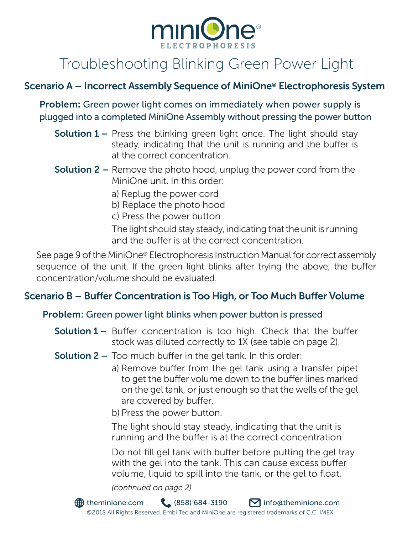

# Troubleshooting Blinking Green Power Light

## Scenario A – Incorrect Assembly Sequence of MiniOne® Electrophoresis System

Problem: Green power light comes on immediately when power supply is plugged into a completed MiniOne Assembly without pressing the power button

- **Solution 1** Press the blinking green light once. The light should stay steady, indicating that the unit is running and the buffer is at the correct concentration.
- **Solution 2** Remove the photo hood, unplug the power cord from the MiniOne unit. In this order:
	- a) Replug the power cord
	- b) Replace the photo hood
	- c) Press the power button

The light should stay steady, indicating that the unit is running and the buffer is at the correct concentration.

See page 9 of the MiniOne® Electrophoresis Instruction Manual for correct assembly sequence of the unit. If the green light blinks after trying the above, the buffer concentration/volume should be evaluated.

## Scenario B – Buffer Concentration is Too High, or Too Much Buffer Volume

#### Problem: Green power light blinks when power button is pressed

- **Solution 1 –** Buffer concentration is too high. Check that the buffer stock was diluted correctly to 1X (see table on page 2).
- **Solution 2 –** Too much buffer in the gel tank. In this order:
	- a) Remove buffer from the gel tank using a transfer pipet to get the buffer volume down to the buffer lines marked on the gel tank, or just enough so that the wells of the gel are covered by buffer.
	- b) Press the power button.

The light should stay steady, indicating that the unit is running and the buffer is at the correct concentration.

Do not fill gel tank with buffer before putting the gel tray with the gel into the tank. This can cause excess buffer volume, liquid to spill into the tank, or the gel to float.

*(continued on page 2)*